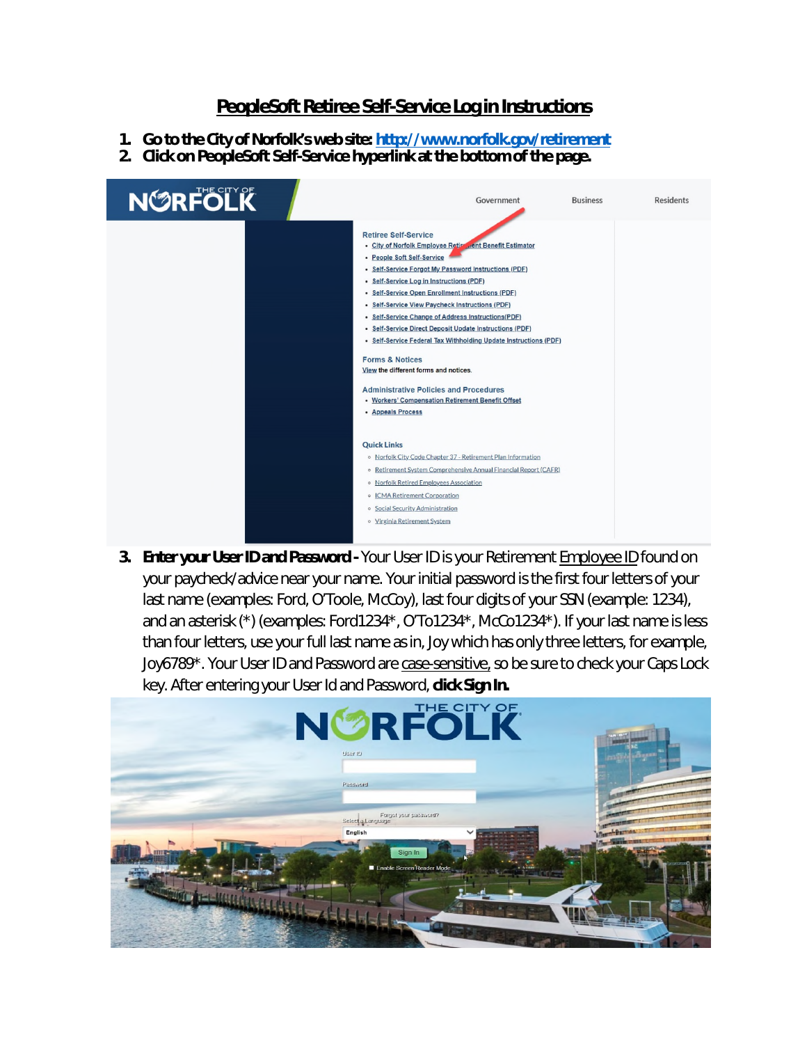## **PeopleSoft Retiree Self-Service Log in Instructions**

- **1. Go to the City of Norfolk's web site: http://www.norfolk.gov/retirement**
- **2. Click on PeopleSoft Self-Service hyperlink at the bottom of the page.**



**3. Enter your User ID and Password - Your User ID is your Retirement <b>Employee ID** found on your paycheck/advice near your name. Your initial password is the first four letters of your last name (examples: Ford, O'Toole, McCoy), last four digits of your SSN (example: 1234), and an asterisk (\*) (examples: Ford1234\*, O'To1234\*, McCo1234\*). If your last name is less than four letters, use your full last name as in, Joy which has only three letters, for example, Joy6789\*. Your User ID and Password are case-sensitive, so be sure to check your Caps Lock key. After entering your User Id and Password, **click Sign In.** 

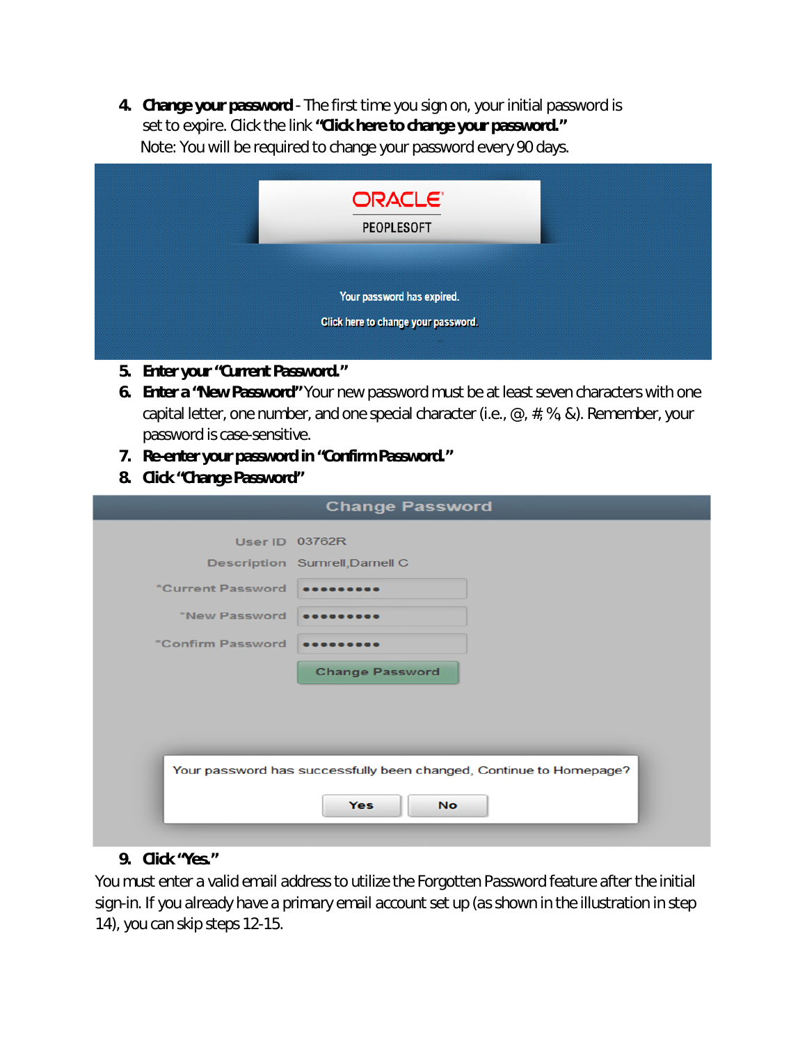**4. Change your password** - The first time you sign on, your initial password is set to expire. Click the link **"Click here to change your password."**  Note: You will be required to change your password every 90 days.

| ORACLE <sup>®</sup><br><b>PEOPLESOFT</b>                          |  |
|-------------------------------------------------------------------|--|
| Your password has expired.<br>Click here to change your password. |  |

- **5. Enter your "Current Password."**
- **6. Enter a "New Password"** Your new password must be at least seven characters with one capital letter, one number, and one special character (i.e.,  $\mathcal{Q}$ ,  $\#$ , %, &). Remember, your password is case-sensitive.
- **7. Re-enter your password in "Confirm Password."**
- **8. Click "Change Password"**

| <b>Change Password</b> |                                                                    |  |
|------------------------|--------------------------------------------------------------------|--|
|                        | <b>User ID 03762R</b>                                              |  |
|                        | Description Sumrell, Darnell C                                     |  |
| *Current Password      |                                                                    |  |
| *New Password          |                                                                    |  |
| *Confirm Password      |                                                                    |  |
|                        | <b>Change Password</b>                                             |  |
|                        |                                                                    |  |
|                        |                                                                    |  |
|                        |                                                                    |  |
|                        | Your password has successfully been changed, Continue to Homepage? |  |
|                        |                                                                    |  |
|                        | <b>Yes</b><br><b>No</b>                                            |  |

## **9. Click "Yes."**

*You must enter a valid email address to utilize the Forgotten Password feature after the initial sign-in. If you already have a primary email account set up (as shown in the illustration in step 14), you can skip steps 12-15.*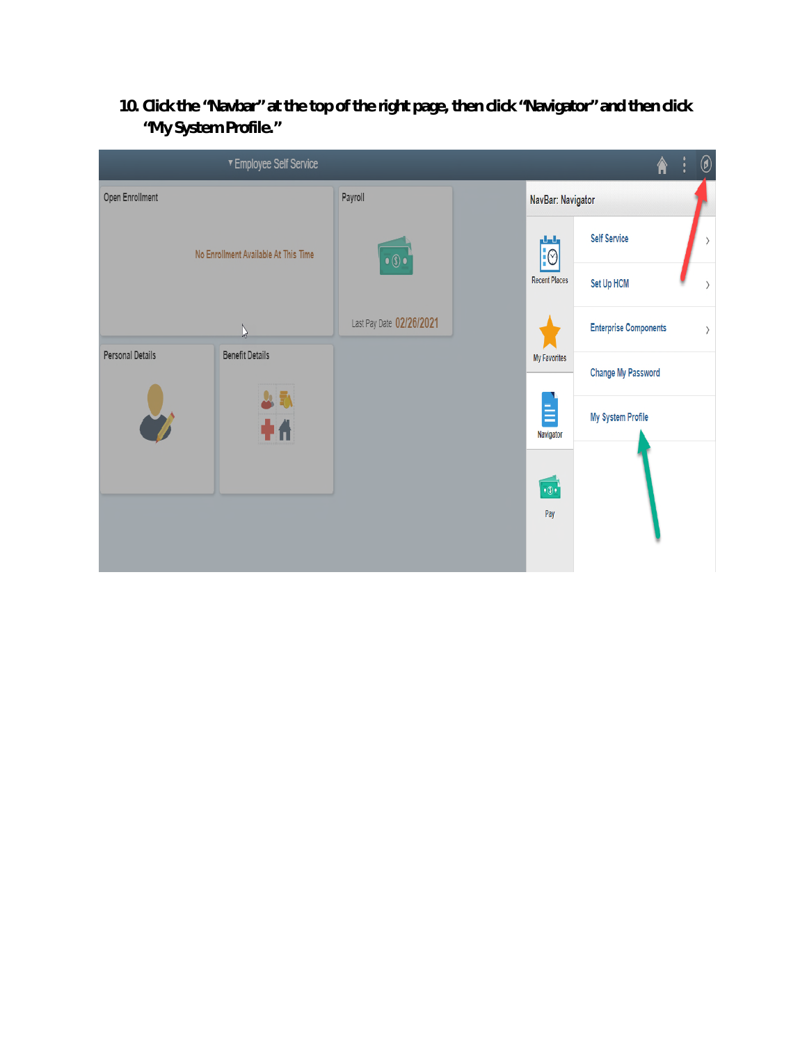**10. Click the "Navbar" at the top of the right page, then click "Navigator" and then click "My System Profile."**

|                         | ▼ Employee Self Service              |                          |                      |                            |                              | 徻 | ÿ                            | $^{\circledR}$               |
|-------------------------|--------------------------------------|--------------------------|----------------------|----------------------------|------------------------------|---|------------------------------|------------------------------|
| Open Enrollment         |                                      | Payroll                  |                      | NavBar: Navigator          |                              |   |                              |                              |
|                         | No Enrollment Available At This Time | $\bullet$<br>$\bullet$   |                      | ولعلع<br>$\overline{10}$   | <b>Self Service</b>          |   |                              | $\left\langle \right\rangle$ |
|                         |                                      |                          | <b>Recent Places</b> | Set Up HCM                 |                              |   | $\left\langle \right\rangle$ |                              |
|                         | $\gamma$                             | Last Pay Date 02/26/2021 |                      |                            | <b>Enterprise Components</b> |   |                              | $\rangle$                    |
| <b>Personal Details</b> | <b>Benefit Details</b>               |                          |                      | My Favorites               | <b>Change My Password</b>    |   |                              |                              |
|                         | 시리<br>+4                             |                          |                      | Ë<br>Navigator             | <b>My System Profile</b>     |   |                              |                              |
|                         |                                      |                          |                      | $\cdot \circ \cdot$<br>Pay |                              |   |                              |                              |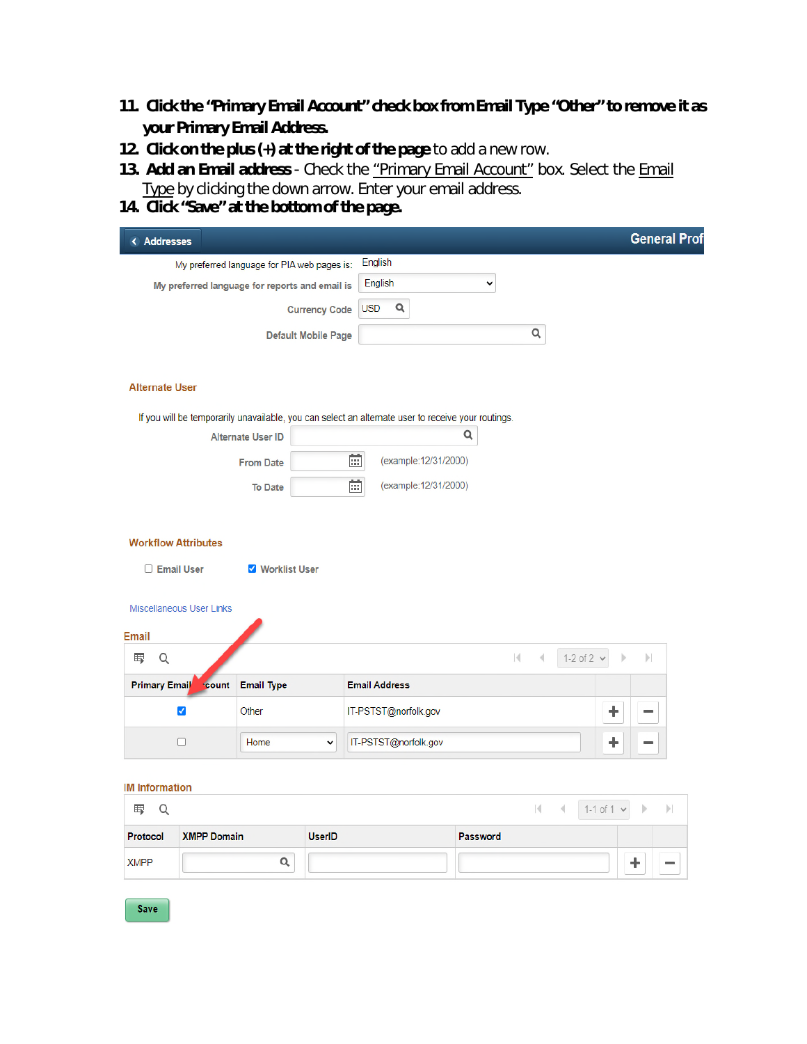- **11. Click the "Primary Email Account" check box from Email Type "Other" to remove it as your Primary Email Address.**
- **12. Click on the plus (+) at the right of the page** to add a new row.
- **13. Add an Email address** Check the "Primary Email Account" box. Select the Email Type by clicking the down arrow. Enter your email address.
- **14. Click "Save" at the bottom of the page.**

| < Addresses                                        |                                             |                            |                                                                                                    |              |                 |                 |                   | <b>General Prof</b> |
|----------------------------------------------------|---------------------------------------------|----------------------------|----------------------------------------------------------------------------------------------------|--------------|-----------------|-----------------|-------------------|---------------------|
|                                                    | My preferred language for PIA web pages is: |                            | English                                                                                            |              |                 |                 |                   |                     |
| My preferred language for reports and email is     |                                             |                            | English                                                                                            | v            |                 |                 |                   |                     |
|                                                    |                                             | <b>Currency Code</b>       | $\alpha$<br><b>USD</b>                                                                             |              |                 |                 |                   |                     |
|                                                    |                                             | <b>Default Mobile Page</b> |                                                                                                    |              | Q               |                 |                   |                     |
| <b>Alternate User</b>                              |                                             |                            |                                                                                                    |              |                 |                 |                   |                     |
|                                                    |                                             |                            | If you will be temporarily unavailable, you can select an alternate user to receive your routings. |              |                 |                 |                   |                     |
|                                                    | <b>Alternate User ID</b>                    |                            |                                                                                                    | Q            |                 |                 |                   |                     |
|                                                    | <b>From Date</b>                            |                            | 雷<br>(example: 12/31/2000)                                                                         |              |                 |                 |                   |                     |
|                                                    | <b>To Date</b>                              |                            | $\overline{\mathbb{R}^2}$<br>(example: 12/31/2000)                                                 |              |                 |                 |                   |                     |
| Miscellaneous User Links<br><b>Email</b><br>Q<br>围 |                                             |                            |                                                                                                    | $\mathbb{R}$ | $\triangleleft$ | 1-2 of 2 $\vee$ |                   | $\mathbb{N}$        |
| <b>Primary Email</b><br><b>count</b>               | <b>Email Type</b>                           |                            | <b>Email Address</b>                                                                               |              |                 |                 |                   |                     |
|                                                    |                                             |                            |                                                                                                    |              |                 |                 |                   |                     |
| $\blacktriangledown$                               | Other                                       |                            | IT-PSTST@norfolk.gov                                                                               |              |                 |                 | ÷                 |                     |
| П                                                  | Home                                        | v                          | IT-PSTST@norfolk.gov                                                                               |              |                 |                 | ٠                 |                     |
| <b>IM Information</b>                              |                                             |                            |                                                                                                    |              |                 |                 |                   |                     |
| 围<br>Q                                             |                                             |                            |                                                                                                    |              | K               | 4               | 1-1 of 1 $\times$ | $\vert\!\vert$<br>Ъ |
| <b>XMPP Domain</b><br>Protocol                     |                                             | <b>UserID</b>              |                                                                                                    | Password     |                 |                 |                   |                     |
| <b>XMPP</b>                                        | $\alpha$                                    |                            |                                                                                                    |              |                 |                 |                   | ٠                   |
|                                                    |                                             |                            |                                                                                                    |              |                 |                 |                   |                     |

Save